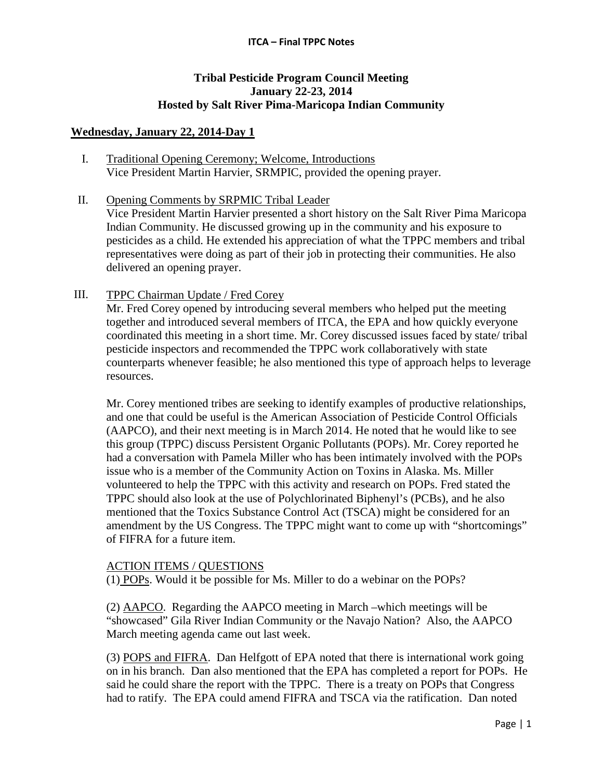#### **ITCA – Final TPPC Notes**

# **Tribal Pesticide Program Council Meeting January 22-23, 2014 Hosted by Salt River Pima-Maricopa Indian Community**

## **Wednesday, January 22, 2014-Day 1**

- I. Traditional Opening Ceremony; Welcome, Introductions Vice President Martin Harvier, SRMPIC, provided the opening prayer.
- II. Opening Comments by SRPMIC Tribal Leader

Vice President Martin Harvier presented a short history on the Salt River Pima Maricopa Indian Community. He discussed growing up in the community and his exposure to pesticides as a child. He extended his appreciation of what the TPPC members and tribal representatives were doing as part of their job in protecting their communities. He also delivered an opening prayer.

III. TPPC Chairman Update / Fred Corey

Mr. Fred Corey opened by introducing several members who helped put the meeting together and introduced several members of ITCA, the EPA and how quickly everyone coordinated this meeting in a short time. Mr. Corey discussed issues faced by state/ tribal pesticide inspectors and recommended the TPPC work collaboratively with state counterparts whenever feasible; he also mentioned this type of approach helps to leverage resources.

Mr. Corey mentioned tribes are seeking to identify examples of productive relationships, and one that could be useful is the American Association of Pesticide Control Officials (AAPCO), and their next meeting is in March 2014. He noted that he would like to see this group (TPPC) discuss Persistent Organic Pollutants (POPs). Mr. Corey reported he had a conversation with Pamela Miller who has been intimately involved with the POPs issue who is a member of the Community Action on Toxins in Alaska. Ms. Miller volunteered to help the TPPC with this activity and research on POPs. Fred stated the TPPC should also look at the use of Polychlorinated Biphenyl's (PCBs), and he also mentioned that the Toxics Substance Control Act (TSCA) might be considered for an amendment by the US Congress. The TPPC might want to come up with "shortcomings" of FIFRA for a future item.

## ACTION ITEMS / QUESTIONS

(1) POPs. Would it be possible for Ms. Miller to do a webinar on the POPs?

(2) AAPCO. Regarding the AAPCO meeting in March –which meetings will be "showcased" Gila River Indian Community or the Navajo Nation? Also, the AAPCO March meeting agenda came out last week.

(3) POPS and FIFRA. Dan Helfgott of EPA noted that there is international work going on in his branch. Dan also mentioned that the EPA has completed a report for POPs. He said he could share the report with the TPPC. There is a treaty on POPs that Congress had to ratify. The EPA could amend FIFRA and TSCA via the ratification. Dan noted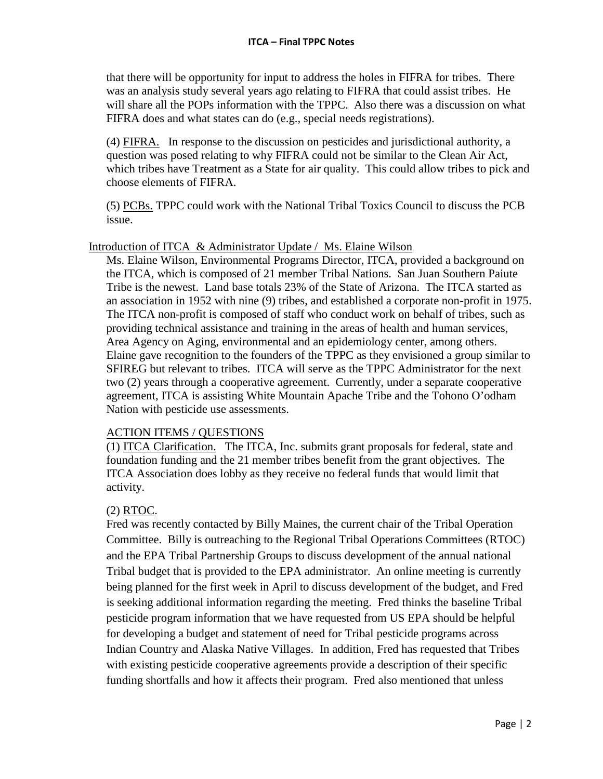that there will be opportunity for input to address the holes in FIFRA for tribes. There was an analysis study several years ago relating to FIFRA that could assist tribes. He will share all the POPs information with the TPPC. Also there was a discussion on what FIFRA does and what states can do (e.g., special needs registrations).

(4) FIFRA. In response to the discussion on pesticides and jurisdictional authority, a question was posed relating to why FIFRA could not be similar to the Clean Air Act, which tribes have Treatment as a State for air quality. This could allow tribes to pick and choose elements of FIFRA.

(5) PCBs. TPPC could work with the National Tribal Toxics Council to discuss the PCB issue.

## Introduction of ITCA & Administrator Update / Ms. Elaine Wilson

Ms. Elaine Wilson, Environmental Programs Director, ITCA, provided a background on the ITCA, which is composed of 21 member Tribal Nations. San Juan Southern Paiute Tribe is the newest. Land base totals 23% of the State of Arizona. The ITCA started as an association in 1952 with nine (9) tribes, and established a corporate non-profit in 1975. The ITCA non-profit is composed of staff who conduct work on behalf of tribes, such as providing technical assistance and training in the areas of health and human services, Area Agency on Aging, environmental and an epidemiology center, among others. Elaine gave recognition to the founders of the TPPC as they envisioned a group similar to SFIREG but relevant to tribes. ITCA will serve as the TPPC Administrator for the next two (2) years through a cooperative agreement. Currently, under a separate cooperative agreement, ITCA is assisting White Mountain Apache Tribe and the Tohono O'odham Nation with pesticide use assessments.

## ACTION ITEMS / QUESTIONS

(1) ITCA Clarification. The ITCA, Inc. submits grant proposals for federal, state and foundation funding and the 21 member tribes benefit from the grant objectives. The ITCA Association does lobby as they receive no federal funds that would limit that activity.

# (2) RTOC.

Fred was recently contacted by Billy Maines, the current chair of the Tribal Operation Committee. Billy is outreaching to the Regional Tribal Operations Committees (RTOC) and the EPA Tribal Partnership Groups to discuss development of the annual national Tribal budget that is provided to the EPA administrator. An online meeting is currently being planned for the first week in April to discuss development of the budget, and Fred is seeking additional information regarding the meeting. Fred thinks the baseline Tribal pesticide program information that we have requested from US EPA should be helpful for developing a budget and statement of need for Tribal pesticide programs across Indian Country and Alaska Native Villages. In addition, Fred has requested that Tribes with existing pesticide cooperative agreements provide a description of their specific funding shortfalls and how it affects their program. Fred also mentioned that unless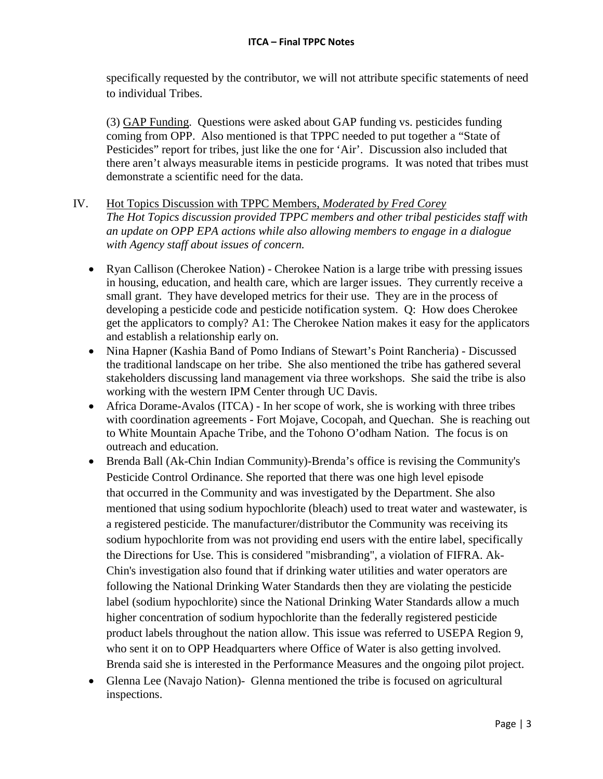specifically requested by the contributor, we will not attribute specific statements of need to individual Tribes.

(3) GAP Funding. Questions were asked about GAP funding vs. pesticides funding coming from OPP. Also mentioned is that TPPC needed to put together a "State of Pesticides" report for tribes, just like the one for 'Air'. Discussion also included that there aren't always measurable items in pesticide programs. It was noted that tribes must demonstrate a scientific need for the data.

# IV. Hot Topics Discussion with TPPC Members, *Moderated by Fred Corey The Hot Topics discussion provided TPPC members and other tribal pesticides staff with an update on OPP EPA actions while also allowing members to engage in a dialogue with Agency staff about issues of concern.*

- Ryan Callison (Cherokee Nation) Cherokee Nation is a large tribe with pressing issues in housing, education, and health care, which are larger issues. They currently receive a small grant. They have developed metrics for their use. They are in the process of developing a pesticide code and pesticide notification system. Q: How does Cherokee get the applicators to comply? A1: The Cherokee Nation makes it easy for the applicators and establish a relationship early on.
- Nina Hapner (Kashia Band of Pomo Indians of Stewart's Point Rancheria) Discussed the traditional landscape on her tribe. She also mentioned the tribe has gathered several stakeholders discussing land management via three workshops. She said the tribe is also working with the western IPM Center through UC Davis.
- Africa Dorame-Avalos (ITCA) In her scope of work, she is working with three tribes with coordination agreements - Fort Mojave, Cocopah, and Quechan. She is reaching out to White Mountain Apache Tribe, and the Tohono O'odham Nation. The focus is on outreach and education.
- Brenda Ball (Ak-Chin Indian Community)-Brenda's office is revising the Community's Pesticide Control Ordinance. She reported that there was one high level episode that occurred in the Community and was investigated by the Department. She also mentioned that using sodium hypochlorite (bleach) used to treat water and wastewater, is a registered pesticide. The manufacturer/distributor the Community was receiving its sodium hypochlorite from was not providing end users with the entire label, specifically the Directions for Use. This is considered "misbranding", a violation of FIFRA. Ak-Chin's investigation also found that if drinking water utilities and water operators are following the National Drinking Water Standards then they are violating the pesticide label (sodium hypochlorite) since the National Drinking Water Standards allow a much higher concentration of sodium hypochlorite than the federally registered pesticide product labels throughout the nation allow. This issue was referred to USEPA Region 9, who sent it on to OPP Headquarters where Office of Water is also getting involved. Brenda said she is interested in the Performance Measures and the ongoing pilot project.
- Glenna Lee (Navajo Nation)- Glenna mentioned the tribe is focused on agricultural inspections.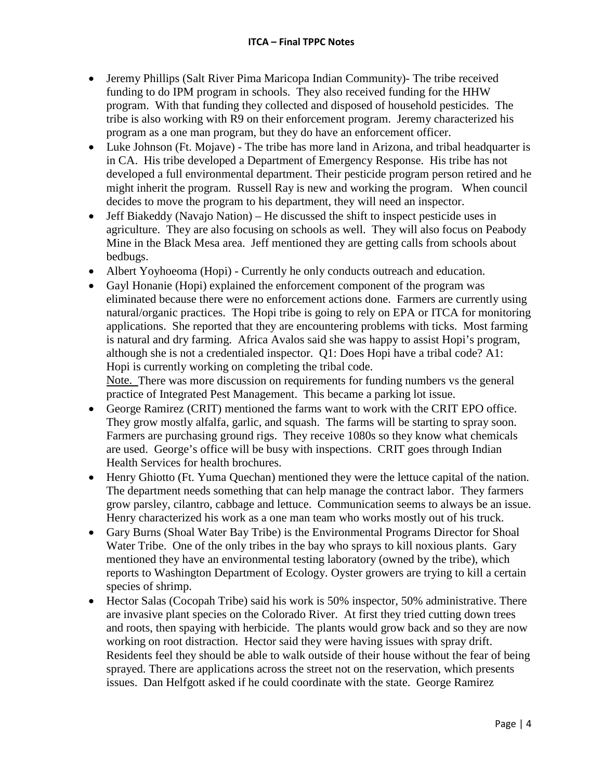- Jeremy Phillips (Salt River Pima Maricopa Indian Community)- The tribe received funding to do IPM program in schools. They also received funding for the HHW program. With that funding they collected and disposed of household pesticides. The tribe is also working with R9 on their enforcement program. Jeremy characterized his program as a one man program, but they do have an enforcement officer.
- Luke Johnson (Ft. Mojave) The tribe has more land in Arizona, and tribal headquarter is in CA. His tribe developed a Department of Emergency Response. His tribe has not developed a full environmental department. Their pesticide program person retired and he might inherit the program. Russell Ray is new and working the program. When council decides to move the program to his department, they will need an inspector.
- Jeff Biakeddy (Navajo Nation) He discussed the shift to inspect pesticide uses in agriculture. They are also focusing on schools as well. They will also focus on Peabody Mine in the Black Mesa area. Jeff mentioned they are getting calls from schools about bedbugs.
- Albert Yoyhoeoma (Hopi) Currently he only conducts outreach and education.
- Gayl Honanie (Hopi) explained the enforcement component of the program was eliminated because there were no enforcement actions done. Farmers are currently using natural/organic practices. The Hopi tribe is going to rely on EPA or ITCA for monitoring applications. She reported that they are encountering problems with ticks. Most farming is natural and dry farming. Africa Avalos said she was happy to assist Hopi's program, although she is not a credentialed inspector. Q1: Does Hopi have a tribal code? A1: Hopi is currently working on completing the tribal code.

Note. There was more discussion on requirements for funding numbers vs the general practice of Integrated Pest Management. This became a parking lot issue.

- George Ramirez (CRIT) mentioned the farms want to work with the CRIT EPO office. They grow mostly alfalfa, garlic, and squash. The farms will be starting to spray soon. Farmers are purchasing ground rigs. They receive 1080s so they know what chemicals are used. George's office will be busy with inspections. CRIT goes through Indian Health Services for health brochures.
- Henry Ghiotto (Ft. Yuma Quechan) mentioned they were the lettuce capital of the nation. The department needs something that can help manage the contract labor. They farmers grow parsley, cilantro, cabbage and lettuce. Communication seems to always be an issue. Henry characterized his work as a one man team who works mostly out of his truck.
- Gary Burns (Shoal Water Bay Tribe) is the Environmental Programs Director for Shoal Water Tribe. One of the only tribes in the bay who sprays to kill noxious plants. Gary mentioned they have an environmental testing laboratory (owned by the tribe), which reports to Washington Department of Ecology. Oyster growers are trying to kill a certain species of shrimp.
- Hector Salas (Cocopah Tribe) said his work is 50% inspector, 50% administrative. There are invasive plant species on the Colorado River. At first they tried cutting down trees and roots, then spaying with herbicide. The plants would grow back and so they are now working on root distraction. Hector said they were having issues with spray drift. Residents feel they should be able to walk outside of their house without the fear of being sprayed. There are applications across the street not on the reservation, which presents issues. Dan Helfgott asked if he could coordinate with the state. George Ramirez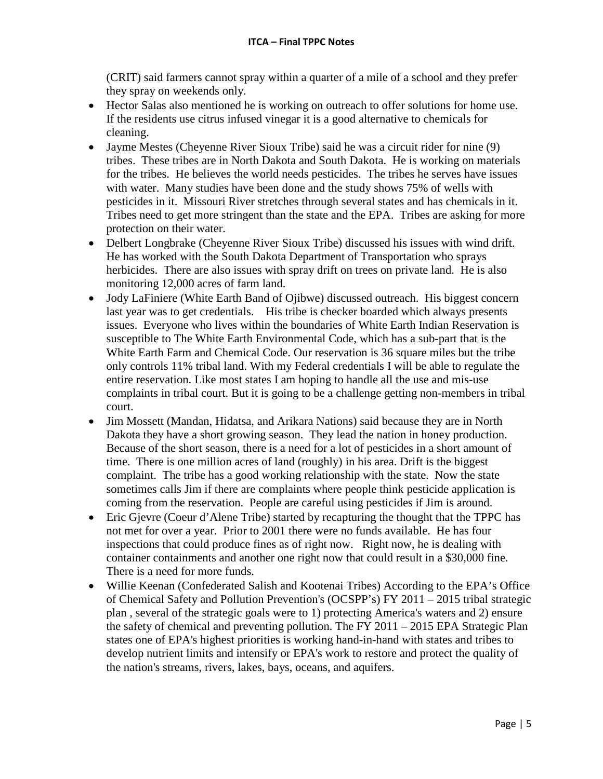(CRIT) said farmers cannot spray within a quarter of a mile of a school and they prefer they spray on weekends only.

- Hector Salas also mentioned he is working on outreach to offer solutions for home use. If the residents use citrus infused vinegar it is a good alternative to chemicals for cleaning.
- Jayme Mestes (Chevenne River Sioux Tribe) said he was a circuit rider for nine (9) tribes. These tribes are in North Dakota and South Dakota. He is working on materials for the tribes. He believes the world needs pesticides. The tribes he serves have issues with water. Many studies have been done and the study shows 75% of wells with pesticides in it. Missouri River stretches through several states and has chemicals in it. Tribes need to get more stringent than the state and the EPA. Tribes are asking for more protection on their water.
- Delbert Longbrake (Cheyenne River Sioux Tribe) discussed his issues with wind drift. He has worked with the South Dakota Department of Transportation who sprays herbicides. There are also issues with spray drift on trees on private land. He is also monitoring 12,000 acres of farm land.
- Jody LaFiniere (White Earth Band of Ojibwe) discussed outreach. His biggest concern last year was to get credentials. His tribe is checker boarded which always presents issues. Everyone who lives within the boundaries of White Earth Indian Reservation is susceptible to The White Earth Environmental Code, which has a sub-part that is the White Earth Farm and Chemical Code. Our reservation is 36 square miles but the tribe only controls 11% tribal land. With my Federal credentials I will be able to regulate the entire reservation. Like most states I am hoping to handle all the use and mis-use complaints in tribal court. But it is going to be a challenge getting non-members in tribal court.
- Jim Mossett (Mandan, Hidatsa, and Arikara Nations) said because they are in North Dakota they have a short growing season. They lead the nation in honey production. Because of the short season, there is a need for a lot of pesticides in a short amount of time. There is one million acres of land (roughly) in his area. Drift is the biggest complaint. The tribe has a good working relationship with the state. Now the state sometimes calls Jim if there are complaints where people think pesticide application is coming from the reservation. People are careful using pesticides if Jim is around.
- Eric Gjevre (Coeur d'Alene Tribe) started by recapturing the thought that the TPPC has not met for over a year. Prior to 2001 there were no funds available. He has four inspections that could produce fines as of right now. Right now, he is dealing with container containments and another one right now that could result in a \$30,000 fine. There is a need for more funds.
- Willie Keenan (Confederated Salish and Kootenai Tribes) According to the EPA's Office of Chemical Safety and Pollution Prevention's (OCSPP's) FY 2011 – 2015 tribal strategic plan , several of the strategic goals were to 1) protecting America's waters and 2) ensure the safety of chemical and preventing pollution. The FY 2011 – 2015 EPA Strategic Plan states one of EPA's highest priorities is working hand-in-hand with states and tribes to develop nutrient limits and intensify or EPA's work to restore and protect the quality of the nation's streams, rivers, lakes, bays, oceans, and aquifers.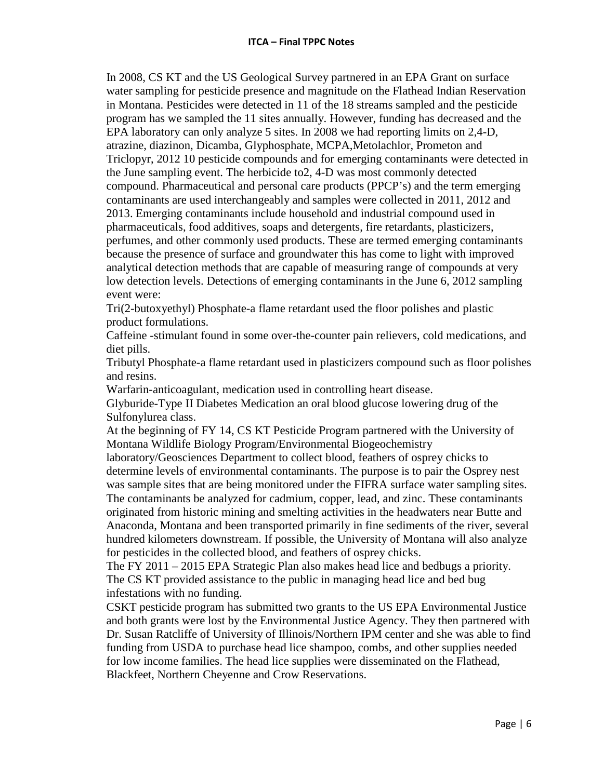In 2008, CS KT and the US Geological Survey partnered in an EPA Grant on surface water sampling for pesticide presence and magnitude on the Flathead Indian Reservation in Montana. Pesticides were detected in 11 of the 18 streams sampled and the pesticide program has we sampled the 11 sites annually. However, funding has decreased and the EPA laboratory can only analyze 5 sites. In 2008 we had reporting limits on 2,4-D, atrazine, diazinon, Dicamba, Glyphosphate, MCPA,Metolachlor, Prometon and Triclopyr, 2012 10 pesticide compounds and for emerging contaminants were detected in the June sampling event. The herbicide to2, 4-D was most commonly detected compound. Pharmaceutical and personal care products (PPCP's) and the term emerging contaminants are used interchangeably and samples were collected in 2011, 2012 and 2013. Emerging contaminants include household and industrial compound used in pharmaceuticals, food additives, soaps and detergents, fire retardants, plasticizers, perfumes, and other commonly used products. These are termed emerging contaminants because the presence of surface and groundwater this has come to light with improved analytical detection methods that are capable of measuring range of compounds at very low detection levels. Detections of emerging contaminants in the June 6, 2012 sampling event were:

Tri(2-butoxyethyl) Phosphate-a flame retardant used the floor polishes and plastic product formulations.

Caffeine -stimulant found in some over-the-counter pain relievers, cold medications, and diet pills.

Tributyl Phosphate-a flame retardant used in plasticizers compound such as floor polishes and resins.

Warfarin-anticoagulant, medication used in controlling heart disease.

Glyburide-Type II Diabetes Medication an oral blood glucose lowering drug of the Sulfonylurea class.

At the beginning of FY 14, CS KT Pesticide Program partnered with the University of Montana Wildlife Biology Program/Environmental Biogeochemistry

laboratory/Geosciences Department to collect blood, feathers of osprey chicks to determine levels of environmental contaminants. The purpose is to pair the Osprey nest was sample sites that are being monitored under the FIFRA surface water sampling sites. The contaminants be analyzed for cadmium, copper, lead, and zinc. These contaminants originated from historic mining and smelting activities in the headwaters near Butte and Anaconda, Montana and been transported primarily in fine sediments of the river, several hundred kilometers downstream. If possible, the University of Montana will also analyze for pesticides in the collected blood, and feathers of osprey chicks.

The FY 2011 – 2015 EPA Strategic Plan also makes head lice and bedbugs a priority. The CS KT provided assistance to the public in managing head lice and bed bug infestations with no funding.

CSKT pesticide program has submitted two grants to the US EPA Environmental Justice and both grants were lost by the Environmental Justice Agency. They then partnered with Dr. Susan Ratcliffe of University of Illinois/Northern IPM center and she was able to find funding from USDA to purchase head lice shampoo, combs, and other supplies needed for low income families. The head lice supplies were disseminated on the Flathead, Blackfeet, Northern Cheyenne and Crow Reservations.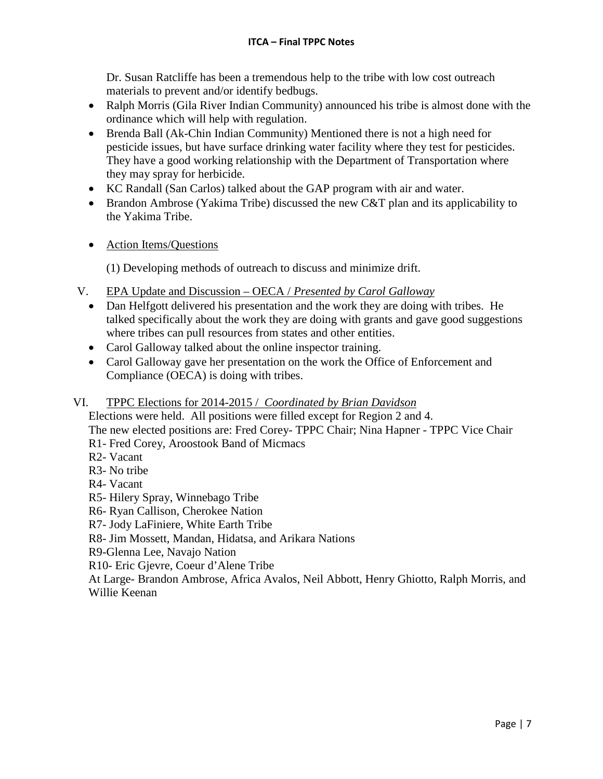Dr. Susan Ratcliffe has been a tremendous help to the tribe with low cost outreach materials to prevent and/or identify bedbugs.

- Ralph Morris (Gila River Indian Community) announced his tribe is almost done with the ordinance which will help with regulation.
- Brenda Ball (Ak-Chin Indian Community) Mentioned there is not a high need for pesticide issues, but have surface drinking water facility where they test for pesticides. They have a good working relationship with the Department of Transportation where they may spray for herbicide.
- KC Randall (San Carlos) talked about the GAP program with air and water.
- Brandon Ambrose (Yakima Tribe) discussed the new C&T plan and its applicability to the Yakima Tribe.
- Action Items/Questions

(1) Developing methods of outreach to discuss and minimize drift.

- V. EPA Update and Discussion OECA / *Presented by Carol Galloway*
	- Dan Helfgott delivered his presentation and the work they are doing with tribes. He talked specifically about the work they are doing with grants and gave good suggestions where tribes can pull resources from states and other entities.
	- Carol Galloway talked about the online inspector training.
	- Carol Galloway gave her presentation on the work the Office of Enforcement and Compliance (OECA) is doing with tribes.

## VI. TPPC Elections for 2014-2015 / *Coordinated by Brian Davidson*

Elections were held. All positions were filled except for Region 2 and 4. The new elected positions are: Fred Corey- TPPC Chair; Nina Hapner - TPPC Vice Chair

- R1- Fred Corey, Aroostook Band of Micmacs
- R2- Vacant
- R3- No tribe
- R4- Vacant
- R5- Hilery Spray, Winnebago Tribe
- R6- Ryan Callison, Cherokee Nation
- R7- Jody LaFiniere, White Earth Tribe
- R8- Jim Mossett, Mandan, Hidatsa, and Arikara Nations
- R9-Glenna Lee, Navajo Nation
- R10- Eric Gjevre, Coeur d'Alene Tribe

At Large- Brandon Ambrose, Africa Avalos, Neil Abbott, Henry Ghiotto, Ralph Morris, and Willie Keenan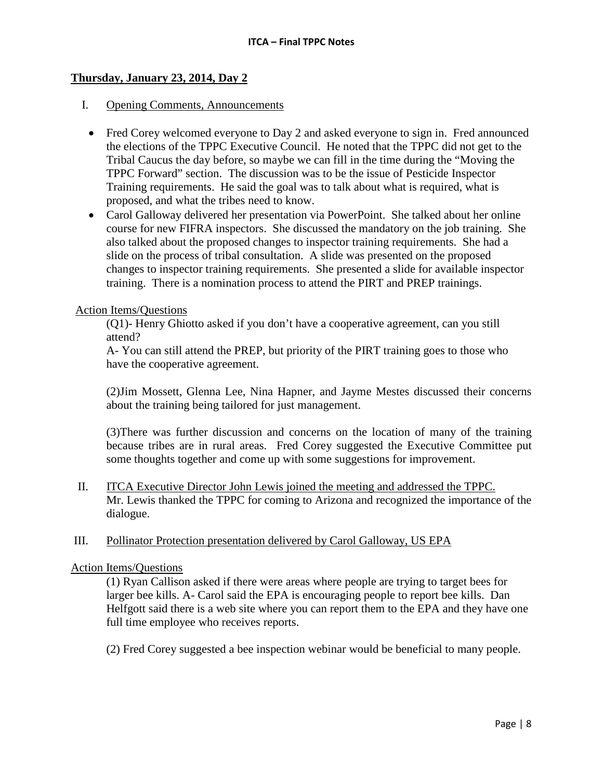## **Thursday, January 23, 2014, Day 2**

#### I. Opening Comments, Announcements

- Fred Corey welcomed everyone to Day 2 and asked everyone to sign in. Fred announced the elections of the TPPC Executive Council. He noted that the TPPC did not get to the Tribal Caucus the day before, so maybe we can fill in the time during the "Moving the TPPC Forward" section. The discussion was to be the issue of Pesticide Inspector Training requirements. He said the goal was to talk about what is required, what is proposed, and what the tribes need to know.
- Carol Galloway delivered her presentation via PowerPoint. She talked about her online course for new FIFRA inspectors. She discussed the mandatory on the job training. She also talked about the proposed changes to inspector training requirements. She had a slide on the process of tribal consultation. A slide was presented on the proposed changes to inspector training requirements. She presented a slide for available inspector training. There is a nomination process to attend the PIRT and PREP trainings.

#### Action Items/Questions

(Q1)- Henry Ghiotto asked if you don't have a cooperative agreement, can you still attend?

A- You can still attend the PREP, but priority of the PIRT training goes to those who have the cooperative agreement.

(2)Jim Mossett, Glenna Lee, Nina Hapner, and Jayme Mestes discussed their concerns about the training being tailored for just management.

(3)There was further discussion and concerns on the location of many of the training because tribes are in rural areas. Fred Corey suggested the Executive Committee put some thoughts together and come up with some suggestions for improvement.

II. ITCA Executive Director John Lewis joined the meeting and addressed the TPPC. Mr. Lewis thanked the TPPC for coming to Arizona and recognized the importance of the dialogue.

## III. Pollinator Protection presentation delivered by Carol Galloway, US EPA

## Action Items/Questions

(1) Ryan Callison asked if there were areas where people are trying to target bees for larger bee kills. A- Carol said the EPA is encouraging people to report bee kills. Dan Helfgott said there is a web site where you can report them to the EPA and they have one full time employee who receives reports.

(2) Fred Corey suggested a bee inspection webinar would be beneficial to many people.